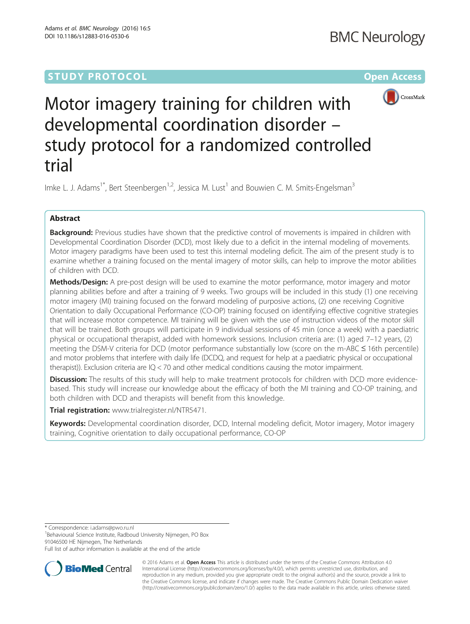# **STUDY PROTOCOL CONSUMING THE RESERVE ACCESS**



Motor imagery training for children with developmental coordination disorder – study protocol for a randomized controlled trial

Imke L. J. Adams<sup>1\*</sup>, Bert Steenbergen<sup>1,2</sup>, Jessica M. Lust<sup>1</sup> and Bouwien C. M. Smits-Engelsman<sup>3</sup>

## Abstract

Background: Previous studies have shown that the predictive control of movements is impaired in children with Developmental Coordination Disorder (DCD), most likely due to a deficit in the internal modeling of movements. Motor imagery paradigms have been used to test this internal modeling deficit. The aim of the present study is to examine whether a training focused on the mental imagery of motor skills, can help to improve the motor abilities of children with DCD.

**Methods/Design:** A pre-post design will be used to examine the motor performance, motor imagery and motor planning abilities before and after a training of 9 weeks. Two groups will be included in this study (1) one receiving motor imagery (MI) training focused on the forward modeling of purposive actions, (2) one receiving Cognitive Orientation to daily Occupational Performance (CO-OP) training focused on identifying effective cognitive strategies that will increase motor competence. MI training will be given with the use of instruction videos of the motor skill that will be trained. Both groups will participate in 9 individual sessions of 45 min (once a week) with a paediatric physical or occupational therapist, added with homework sessions. Inclusion criteria are: (1) aged 7–12 years, (2) meeting the DSM-V criteria for DCD (motor performance substantially low (score on the m-ABC ≤ 16th percentile) and motor problems that interfere with daily life (DCDQ, and request for help at a paediatric physical or occupational therapist)). Exclusion criteria are IQ < 70 and other medical conditions causing the motor impairment.

Discussion: The results of this study will help to make treatment protocols for children with DCD more evidencebased. This study will increase our knowledge about the efficacy of both the MI training and CO-OP training, and both children with DCD and therapists will benefit from this knowledge.

**Trial registration:** [www.trialregister.nl/NTR5471.](http://www.trialregister.nl/trialreg/admin/rctview.asp?TC=5471)

Keywords: Developmental coordination disorder, DCD, Internal modeling deficit, Motor imagery, Motor imagery training, Cognitive orientation to daily occupational performance, CO-OP

\* Correspondence: [i.adams@pwo.ru.nl](mailto:i.adams@pwo.ru.nl) <sup>1</sup>

<sup>1</sup>Behavioural Science Institute, Radboud University Nijmegen, PO Box 91046500 HE Nijmegen, The Netherlands

Full list of author information is available at the end of the article



© 2016 Adams et al. Open Access This article is distributed under the terms of the Creative Commons Attribution 4.0 International License [\(http://creativecommons.org/licenses/by/4.0/](http://creativecommons.org/licenses/by/4.0/)), which permits unrestricted use, distribution, and reproduction in any medium, provided you give appropriate credit to the original author(s) and the source, provide a link to the Creative Commons license, and indicate if changes were made. The Creative Commons Public Domain Dedication waiver [\(http://creativecommons.org/publicdomain/zero/1.0/](http://creativecommons.org/publicdomain/zero/1.0/)) applies to the data made available in this article, unless otherwise stated.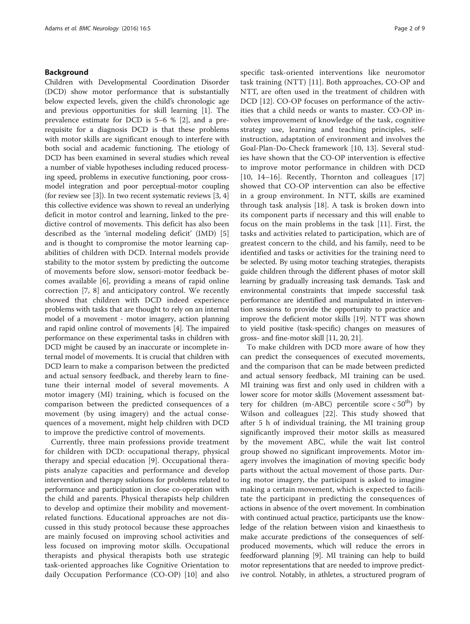## Background

Children with Developmental Coordination Disorder (DCD) show motor performance that is substantially below expected levels, given the child's chronologic age and previous opportunities for skill learning [[1\]](#page-7-0). The prevalence estimate for DCD is 5–6 % [[2](#page-7-0)], and a prerequisite for a diagnosis DCD is that these problems with motor skills are significant enough to interfere with both social and academic functioning. The etiology of DCD has been examined in several studies which reveal a number of viable hypotheses including reduced processing speed, problems in executive functioning, poor crossmodel integration and poor perceptual-motor coupling (for review see [[3\]](#page-7-0)). In two recent systematic reviews [\[3, 4](#page-7-0)] this collective evidence was shown to reveal an underlying deficit in motor control and learning, linked to the predictive control of movements. This deficit has also been described as the 'internal modeling deficit' (IMD) [\[5](#page-7-0)] and is thought to compromise the motor learning capabilities of children with DCD. Internal models provide stability to the motor system by predicting the outcome of movements before slow, sensori-motor feedback becomes available [[6\]](#page-7-0), providing a means of rapid online correction [[7, 8\]](#page-7-0) and anticipatory control. We recently showed that children with DCD indeed experience problems with tasks that are thought to rely on an internal model of a movement - motor imagery, action planning and rapid online control of movements [[4](#page-7-0)]. The impaired performance on these experimental tasks in children with DCD might be caused by an inaccurate or incomplete internal model of movements. It is crucial that children with DCD learn to make a comparison between the predicted and actual sensory feedback, and thereby learn to finetune their internal model of several movements. A motor imagery (MI) training, which is focused on the comparison between the predicted consequences of a movement (by using imagery) and the actual consequences of a movement, might help children with DCD to improve the predictive control of movements.

Currently, three main professions provide treatment for children with DCD: occupational therapy, physical therapy and special education [\[9](#page-7-0)]. Occupational therapists analyze capacities and performance and develop intervention and therapy solutions for problems related to performance and participation in close co-operation with the child and parents. Physical therapists help children to develop and optimize their mobility and movementrelated functions. Educational approaches are not discussed in this study protocol because these approaches are mainly focused on improving school activities and less focused on improving motor skills. Occupational therapists and physical therapists both use strategic task-oriented approaches like Cognitive Orientation to daily Occupation Performance (CO-OP) [[10\]](#page-7-0) and also specific task-oriented interventions like neuromotor task training (NTT) [[11\]](#page-7-0). Both approaches, CO-OP and NTT, are often used in the treatment of children with DCD [\[12](#page-7-0)]. CO-OP focuses on performance of the activities that a child needs or wants to master. CO-OP involves improvement of knowledge of the task, cognitive strategy use, learning and teaching principles, selfinstruction, adaptation of environment and involves the Goal-Plan-Do-Check framework [\[10](#page-7-0), [13](#page-7-0)]. Several studies have shown that the CO-OP intervention is effective to improve motor performance in children with DCD [[10, 14](#page-7-0)–[16](#page-7-0)]. Recently, Thornton and colleagues [\[17](#page-7-0)] showed that CO-OP intervention can also be effective in a group environment. In NTT, skills are examined through task analysis [\[18](#page-7-0)]. A task is broken down into its component parts if necessary and this will enable to focus on the main problems in the task [\[11](#page-7-0)]. First, the tasks and activities related to participation, which are of greatest concern to the child, and his family, need to be identified and tasks or activities for the training need to be selected. By using motor teaching strategies, therapists guide children through the different phases of motor skill learning by gradually increasing task demands. Task and environmental constraints that impede successful task performance are identified and manipulated in intervention sessions to provide the opportunity to practice and improve the deficient motor skills [[19](#page-7-0)]. NTT was shown to yield positive (task-specific) changes on measures of gross- and fine-motor skill [\[11](#page-7-0), [20](#page-7-0), [21\]](#page-7-0).

To make children with DCD more aware of how they can predict the consequences of executed movements, and the comparison that can be made between predicted and actual sensory feedback, MI training can be used. MI training was first and only used in children with a lower score for motor skills (Movement assessment battery for children (m-ABC) percentile score  $< 50<sup>th</sup>$ ) by Wilson and colleagues [\[22](#page-7-0)]. This study showed that after 5 h of individual training, the MI training group significantly improved their motor skills as measured by the movement ABC, while the wait list control group showed no significant improvements. Motor imagery involves the imagination of moving specific body parts without the actual movement of those parts. During motor imagery, the participant is asked to imagine making a certain movement, which is expected to facilitate the participant in predicting the consequences of actions in absence of the overt movement. In combination with continued actual practice, participants use the knowledge of the relation between vision and kinaesthesis to make accurate predictions of the consequences of selfproduced movements, which will reduce the errors in feedforward planning [\[9](#page-7-0)]. MI training can help to build motor representations that are needed to improve predictive control. Notably, in athletes, a structured program of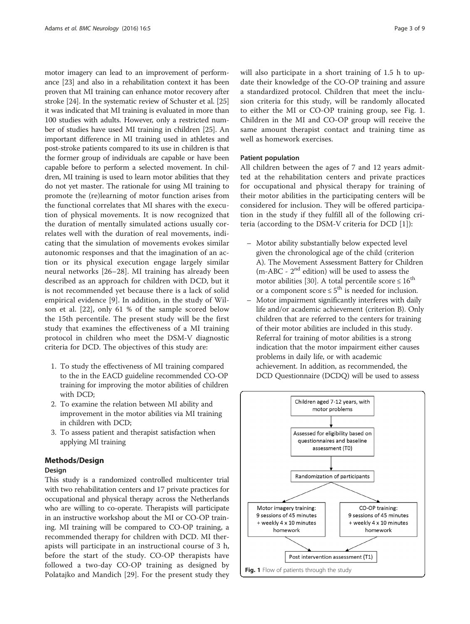motor imagery can lead to an improvement of performance [[23](#page-7-0)] and also in a rehabilitation context it has been proven that MI training can enhance motor recovery after stroke [\[24\]](#page-8-0). In the systematic review of Schuster et al. [[25](#page-8-0)] it was indicated that MI training is evaluated in more than 100 studies with adults. However, only a restricted number of studies have used MI training in children [\[25\]](#page-8-0). An important difference in MI training used in athletes and post-stroke patients compared to its use in children is that the former group of individuals are capable or have been capable before to perform a selected movement. In children, MI training is used to learn motor abilities that they do not yet master. The rationale for using MI training to promote the (re)learning of motor function arises from the functional correlates that MI shares with the execution of physical movements. It is now recognized that the duration of mentally simulated actions usually correlates well with the duration of real movements, indicating that the simulation of movements evokes similar autonomic responses and that the imagination of an action or its physical execution engage largely similar neural networks [[26](#page-8-0)–[28\]](#page-8-0). MI training has already been described as an approach for children with DCD, but it is not recommended yet because there is a lack of solid empirical evidence [\[9](#page-7-0)]. In addition, in the study of Wilson et al. [\[22](#page-7-0)], only 61 % of the sample scored below the 15th percentile. The present study will be the first study that examines the effectiveness of a MI training protocol in children who meet the DSM-V diagnostic criteria for DCD. The objectives of this study are:

- 1. To study the effectiveness of MI training compared to the in the EACD guideline recommended CO-OP training for improving the motor abilities of children with DCD;
- 2. To examine the relation between MI ability and improvement in the motor abilities via MI training in children with DCD;
- 3. To assess patient and therapist satisfaction when applying MI training

## Methods/Design

## Design

This study is a randomized controlled multicenter trial with two rehabilitation centers and 17 private practices for occupational and physical therapy across the Netherlands who are willing to co-operate. Therapists will participate in an instructive workshop about the MI or CO-OP training. MI training will be compared to CO-OP training, a recommended therapy for children with DCD. MI therapists will participate in an instructional course of 3 h, before the start of the study. CO-OP therapists have followed a two-day CO-OP training as designed by Polatajko and Mandich [[29\]](#page-8-0). For the present study they will also participate in a short training of 1.5 h to update their knowledge of the CO-OP training and assure a standardized protocol. Children that meet the inclusion criteria for this study, will be randomly allocated to either the MI or CO-OP training group, see Fig. 1. Children in the MI and CO-OP group will receive the same amount therapist contact and training time as well as homework exercises.

## Patient population

All children between the ages of 7 and 12 years admitted at the rehabilitation centers and private practices for occupational and physical therapy for training of their motor abilities in the participating centers will be considered for inclusion. They will be offered participation in the study if they fulfill all of the following criteria (according to the DSM-V criteria for DCD [[1\]](#page-7-0)):

- Motor ability substantially below expected level given the chronological age of the child (criterion A). The Movement Assessment Battery for Children (m-ABC -  $2<sup>nd</sup>$  edition) will be used to assess the motor abilities [[30\]](#page-8-0). A total percentile score  $\leq 16^{\text{th}}$ or a component score  $\leq 5^{\text{th}}$  is needed for inclusion.
- Motor impairment significantly interferes with daily life and/or academic achievement (criterion B). Only children that are referred to the centers for training of their motor abilities are included in this study. Referral for training of motor abilities is a strong indication that the motor impairment either causes problems in daily life, or with academic achievement. In addition, as recommended, the DCD Questionnaire (DCDQ) will be used to assess

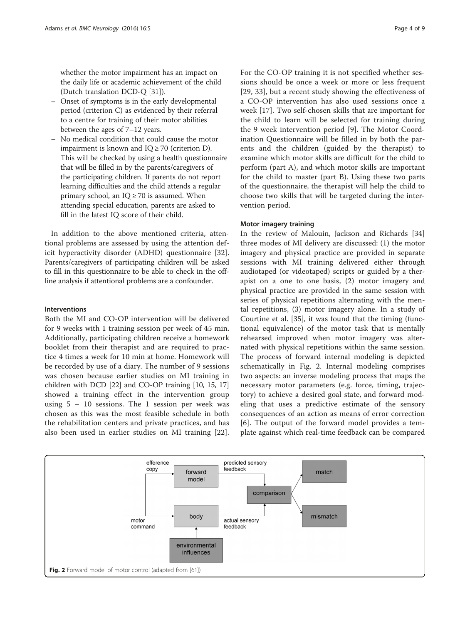whether the motor impairment has an impact on the daily life or academic achievement of the child (Dutch translation DCD-Q [[31](#page-8-0)]).

- Onset of symptoms is in the early developmental period (criterion C) as evidenced by their referral to a centre for training of their motor abilities between the ages of 7–12 years.
- No medical condition that could cause the motor impairment is known and  $IQ \ge 70$  (criterion D). This will be checked by using a health questionnaire that will be filled in by the parents/caregivers of the participating children. If parents do not report learning difficulties and the child attends a regular primary school, an  $IQ \ge 70$  is assumed. When attending special education, parents are asked to fill in the latest IQ score of their child.

In addition to the above mentioned criteria, attentional problems are assessed by using the attention deficit hyperactivity disorder (ADHD) questionnaire [\[32](#page-8-0)]. Parents/caregivers of participating children will be asked to fill in this questionnaire to be able to check in the offline analysis if attentional problems are a confounder.

### Interventions

Both the MI and CO-OP intervention will be delivered for 9 weeks with 1 training session per week of 45 min. Additionally, participating children receive a homework booklet from their therapist and are required to practice 4 times a week for 10 min at home. Homework will be recorded by use of a diary. The number of 9 sessions was chosen because earlier studies on MI training in children with DCD [\[22\]](#page-7-0) and CO-OP training [\[10](#page-7-0), [15](#page-7-0), [17](#page-7-0)] showed a training effect in the intervention group using  $5 - 10$  sessions. The 1 session per week was chosen as this was the most feasible schedule in both the rehabilitation centers and private practices, and has also been used in earlier studies on MI training [[22](#page-7-0)]. For the CO-OP training it is not specified whether sessions should be once a week or more or less frequent [[29](#page-8-0), [33](#page-8-0)], but a recent study showing the effectiveness of a CO-OP intervention has also used sessions once a week [[17](#page-7-0)]. Two self-chosen skills that are important for the child to learn will be selected for training during the 9 week intervention period [[9\]](#page-7-0). The Motor Coordination Questionnaire will be filled in by both the parents and the children (guided by the therapist) to examine which motor skills are difficult for the child to perform (part A), and which motor skills are important for the child to master (part B). Using these two parts of the questionnaire, the therapist will help the child to choose two skills that will be targeted during the intervention period.

### Motor imagery training

In the review of Malouin, Jackson and Richards [\[34](#page-8-0)] three modes of MI delivery are discussed: (1) the motor imagery and physical practice are provided in separate sessions with MI training delivered either through audiotaped (or videotaped) scripts or guided by a therapist on a one to one basis, (2) motor imagery and physical practice are provided in the same session with series of physical repetitions alternating with the mental repetitions, (3) motor imagery alone. In a study of Courtine et al. [\[35](#page-8-0)], it was found that the timing (functional equivalence) of the motor task that is mentally rehearsed improved when motor imagery was alternated with physical repetitions within the same session. The process of forward internal modeling is depicted schematically in Fig. 2. Internal modeling comprises two aspects: an inverse modeling process that maps the necessary motor parameters (e.g. force, timing, trajectory) to achieve a desired goal state, and forward modeling that uses a predictive estimate of the sensory consequences of an action as means of error correction [[6\]](#page-7-0). The output of the forward model provides a template against which real-time feedback can be compared

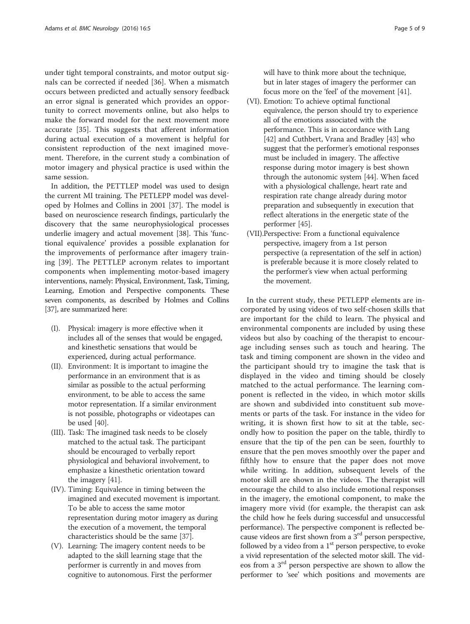under tight temporal constraints, and motor output signals can be corrected if needed [[36\]](#page-8-0). When a mismatch occurs between predicted and actually sensory feedback an error signal is generated which provides an opportunity to correct movements online, but also helps to make the forward model for the next movement more accurate [[35\]](#page-8-0). This suggests that afferent information during actual execution of a movement is helpful for consistent reproduction of the next imagined movement. Therefore, in the current study a combination of motor imagery and physical practice is used within the same session.

In addition, the PETTLEP model was used to design the current MI training. The PETLEPP model was developed by Holmes and Collins in 2001 [[37\]](#page-8-0). The model is based on neuroscience research findings, particularly the discovery that the same neurophysiological processes underlie imagery and actual movement [[38](#page-8-0)]. This 'functional equivalence' provides a possible explanation for the improvements of performance after imagery training [\[39](#page-8-0)]. The PETTLEP acronym relates to important components when implementing motor-based imagery interventions, namely: Physical, Environment, Task, Timing, Learning, Emotion and Perspective components. These seven components, as described by Holmes and Collins [[37](#page-8-0)], are summarized here:

- (I). Physical: imagery is more effective when it includes all of the senses that would be engaged, and kinesthetic sensations that would be experienced, during actual performance.
- (II). Environment: It is important to imagine the performance in an environment that is as similar as possible to the actual performing environment, to be able to access the same motor representation. If a similar environment is not possible, photographs or videotapes can be used [[40](#page-8-0)].
- (III). Task: The imagined task needs to be closely matched to the actual task. The participant should be encouraged to verbally report physiological and behavioral involvement, to emphasize a kinesthetic orientation toward the imagery [[41](#page-8-0)].
- (IV). Timing: Equivalence in timing between the imagined and executed movement is important. To be able to access the same motor representation during motor imagery as during the execution of a movement, the temporal characteristics should be the same [[37](#page-8-0)].
- (V). Learning: The imagery content needs to be adapted to the skill learning stage that the performer is currently in and moves from cognitive to autonomous. First the performer

will have to think more about the technique, but in later stages of imagery the performer can focus more on the 'feel' of the movement [[41](#page-8-0)].

- (VI). Emotion: To achieve optimal functional equivalence, the person should try to experience all of the emotions associated with the performance. This is in accordance with Lang [\[42\]](#page-8-0) and Cuthbert, Vrana and Bradley [[43\]](#page-8-0) who suggest that the performer's emotional responses must be included in imagery. The affective response during motor imagery is best shown through the autonomic system [\[44](#page-8-0)]. When faced with a physiological challenge, heart rate and respiration rate change already during motor preparation and subsequently in execution that reflect alterations in the energetic state of the performer [[45\]](#page-8-0).
- (VII).Perspective: From a functional equivalence perspective, imagery from a 1st person perspective (a representation of the self in action) is preferable because it is more closely related to the performer's view when actual performing the movement.

In the current study, these PETLEPP elements are incorporated by using videos of two self-chosen skills that are important for the child to learn. The physical and environmental components are included by using these videos but also by coaching of the therapist to encourage including senses such as touch and hearing. The task and timing component are shown in the video and the participant should try to imagine the task that is displayed in the video and timing should be closely matched to the actual performance. The learning component is reflected in the video, in which motor skills are shown and subdivided into constituent sub movements or parts of the task. For instance in the video for writing, it is shown first how to sit at the table, secondly how to position the paper on the table, thirdly to ensure that the tip of the pen can be seen, fourthly to ensure that the pen moves smoothly over the paper and fifthly how to ensure that the paper does not move while writing. In addition, subsequent levels of the motor skill are shown in the videos. The therapist will encourage the child to also include emotional responses in the imagery, the emotional component, to make the imagery more vivid (for example, the therapist can ask the child how he feels during successful and unsuccessful performance). The perspective component is reflected because videos are first shown from a 3rd person perspective, followed by a video from a  $1<sup>st</sup>$  person perspective, to evoke a vivid representation of the selected motor skill. The videos from a 3rd person perspective are shown to allow the performer to 'see' which positions and movements are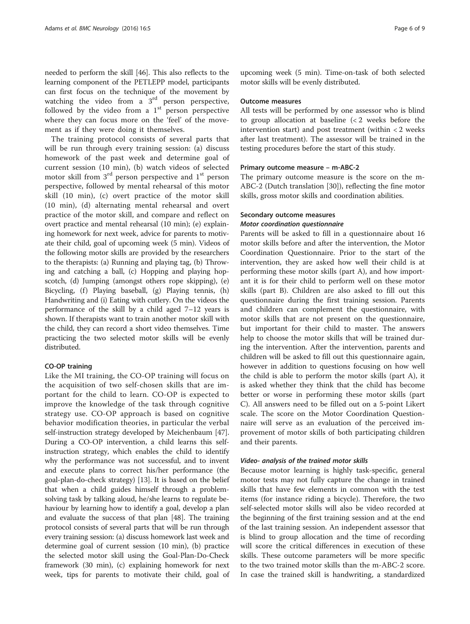needed to perform the skill [\[46\]](#page-8-0). This also reflects to the learning component of the PETLEPP model, participants can first focus on the technique of the movement by watching the video from a  $3<sup>rd</sup>$  person perspective, followed by the video from a  $1<sup>st</sup>$  person perspective where they can focus more on the 'feel' of the movement as if they were doing it themselves.

The training protocol consists of several parts that will be run through every training session: (a) discuss homework of the past week and determine goal of current session (10 min), (b) watch videos of selected motor skill from  $3<sup>rd</sup>$  person perspective and  $1<sup>st</sup>$  person perspective, followed by mental rehearsal of this motor skill (10 min), (c) overt practice of the motor skill (10 min), (d) alternating mental rehearsal and overt practice of the motor skill, and compare and reflect on overt practice and mental rehearsal (10 min); (e) explaining homework for next week, advice for parents to motivate their child, goal of upcoming week (5 min). Videos of the following motor skills are provided by the researchers to the therapists: (a) Running and playing tag, (b) Throwing and catching a ball, (c) Hopping and playing hopscotch, (d) Jumping (amongst others rope skipping), (e) Bicycling, (f) Playing baseball, (g) Playing tennis, (h) Handwriting and (i) Eating with cutlery. On the videos the performance of the skill by a child aged 7–12 years is shown. If therapists want to train another motor skill with the child, they can record a short video themselves. Time practicing the two selected motor skills will be evenly distributed.

### CO-OP training

Like the MI training, the CO-OP training will focus on the acquisition of two self-chosen skills that are important for the child to learn. CO-OP is expected to improve the knowledge of the task through cognitive strategy use. CO-OP approach is based on cognitive behavior modification theories, in particular the verbal self-instruction strategy developed by Meichenbaum [[47](#page-8-0)]. During a CO-OP intervention, a child learns this selfinstruction strategy, which enables the child to identify why the performance was not successful, and to invent and execute plans to correct his/her performance (the goal-plan-do-check strategy) [[13](#page-7-0)]. It is based on the belief that when a child guides himself through a problemsolving task by talking aloud, he/she learns to regulate behaviour by learning how to identify a goal, develop a plan and evaluate the success of that plan [\[48\]](#page-8-0). The training protocol consists of several parts that will be run through every training session: (a) discuss homework last week and determine goal of current session (10 min), (b) practice the selected motor skill using the Goal-Plan-Do-Check framework (30 min), (c) explaining homework for next week, tips for parents to motivate their child, goal of upcoming week (5 min). Time-on-task of both selected motor skills will be evenly distributed.

#### Outcome measures

All tests will be performed by one assessor who is blind to group allocation at baseline (< 2 weeks before the intervention start) and post treatment (within < 2 weeks after last treatment). The assessor will be trained in the testing procedures before the start of this study.

## Primary outcome measure – m-ABC-2

The primary outcome measure is the score on the m-ABC-2 (Dutch translation [[30\]](#page-8-0)), reflecting the fine motor skills, gross motor skills and coordination abilities.

#### Secondary outcome measures

#### Motor coordination questionnaire

Parents will be asked to fill in a questionnaire about 16 motor skills before and after the intervention, the Motor Coordination Questionnaire. Prior to the start of the intervention, they are asked how well their child is at performing these motor skills (part A), and how important it is for their child to perform well on these motor skills (part B). Children are also asked to fill out this questionnaire during the first training session. Parents and children can complement the questionnaire, with motor skills that are not present on the questionnaire, but important for their child to master. The answers help to choose the motor skills that will be trained during the intervention. After the intervention, parents and children will be asked to fill out this questionnaire again, however in addition to questions focusing on how well the child is able to perform the motor skills (part A), it is asked whether they think that the child has become better or worse in performing these motor skills (part C). All answers need to be filled out on a 5-point Likert scale. The score on the Motor Coordination Questionnaire will serve as an evaluation of the perceived improvement of motor skills of both participating children and their parents.

#### Video- analysis of the trained motor skills

Because motor learning is highly task-specific, general motor tests may not fully capture the change in trained skills that have few elements in common with the test items (for instance riding a bicycle). Therefore, the two self-selected motor skills will also be video recorded at the beginning of the first training session and at the end of the last training session. An independent assessor that is blind to group allocation and the time of recording will score the critical differences in execution of these skills. These outcome parameters will be more specific to the two trained motor skills than the m-ABC-2 score. In case the trained skill is handwriting, a standardized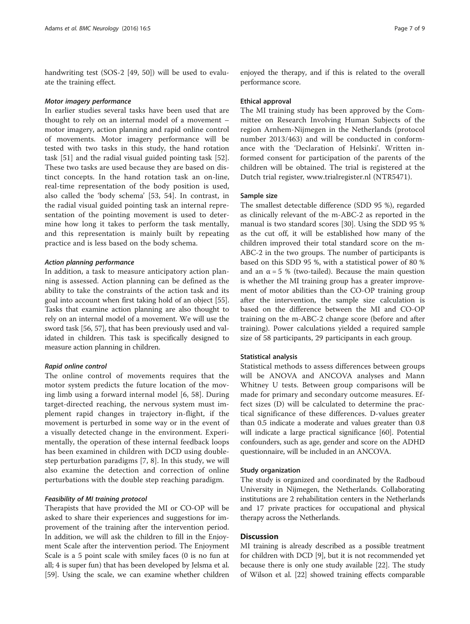handwriting test (SOS-2 [\[49](#page-8-0), [50\]](#page-8-0)) will be used to evaluate the training effect.

#### Motor imagery performance

In earlier studies several tasks have been used that are thought to rely on an internal model of a movement – motor imagery, action planning and rapid online control of movements. Motor imagery performance will be tested with two tasks in this study, the hand rotation task [[51\]](#page-8-0) and the radial visual guided pointing task [\[52](#page-8-0)]. These two tasks are used because they are based on distinct concepts. In the hand rotation task an on-line, real-time representation of the body position is used, also called the 'body schema' [\[53](#page-8-0), [54](#page-8-0)]. In contrast, in the radial visual guided pointing task an internal representation of the pointing movement is used to determine how long it takes to perform the task mentally, and this representation is mainly built by repeating practice and is less based on the body schema.

## Action planning performance

In addition, a task to measure anticipatory action planning is assessed. Action planning can be defined as the ability to take the constraints of the action task and its goal into account when first taking hold of an object [[55](#page-8-0)]. Tasks that examine action planning are also thought to rely on an internal model of a movement. We will use the sword task [\[56](#page-8-0), [57\]](#page-8-0), that has been previously used and validated in children. This task is specifically designed to measure action planning in children.

## Rapid online control

The online control of movements requires that the motor system predicts the future location of the moving limb using a forward internal model [[6,](#page-7-0) [58](#page-8-0)]. During target-directed reaching, the nervous system must implement rapid changes in trajectory in-flight, if the movement is perturbed in some way or in the event of a visually detected change in the environment. Experimentally, the operation of these internal feedback loops has been examined in children with DCD using doublestep perturbation paradigms [[7, 8\]](#page-7-0). In this study, we will also examine the detection and correction of online perturbations with the double step reaching paradigm.

## Feasibility of MI training protocol

Therapists that have provided the MI or CO-OP will be asked to share their experiences and suggestions for improvement of the training after the intervention period. In addition, we will ask the children to fill in the Enjoyment Scale after the intervention period. The Enjoyment Scale is a 5 point scale with smiley faces (0 is no fun at all; 4 is super fun) that has been developed by Jelsma et al. [[59](#page-8-0)]. Using the scale, we can examine whether children enjoyed the therapy, and if this is related to the overall performance score.

#### Ethical approval

The MI training study has been approved by the Committee on Research Involving Human Subjects of the region Arnhem-Nijmegen in the Netherlands (protocol number 2013/463) and will be conducted in conformance with the 'Declaration of Helsinki'. Written informed consent for participation of the parents of the children will be obtained. The trial is registered at the Dutch trial register, [www.trialregister.nl](http://www.trialregister.nl) (NTR5471).

#### Sample size

The smallest detectable difference (SDD 95 %), regarded as clinically relevant of the m-ABC-2 as reported in the manual is two standard scores [[30](#page-8-0)]. Using the SDD 95 % as the cut off, it will be established how many of the children improved their total standard score on the m-ABC-2 in the two groups. The number of participants is based on this SDD 95 %, with a statistical power of 80 % and an  $\alpha = 5$  % (two-tailed). Because the main question is whether the MI training group has a greater improvement of motor abilities than the CO-OP training group after the intervention, the sample size calculation is based on the difference between the MI and CO-OP training on the m-ABC-2 change score (before and after training). Power calculations yielded a required sample size of 58 participants, 29 participants in each group.

## Statistical analysis

Statistical methods to assess differences between groups will be ANOVA and ANCOVA analyses and Mann Whitney U tests. Between group comparisons will be made for primary and secondary outcome measures. Effect sizes (D) will be calculated to determine the practical significance of these differences. D-values greater than 0.5 indicate a moderate and values greater than 0.8 will indicate a large practical significance [[60](#page-8-0)]. Potential confounders, such as age, gender and score on the ADHD questionnaire, will be included in an ANCOVA.

#### Study organization

The study is organized and coordinated by the Radboud University in Nijmegen, the Netherlands. Collaborating institutions are 2 rehabilitation centers in the Netherlands and 17 private practices for occupational and physical therapy across the Netherlands.

## **Discussion**

MI training is already described as a possible treatment for children with DCD [[9](#page-7-0)], but it is not recommended yet because there is only one study available [\[22\]](#page-7-0). The study of Wilson et al. [[22](#page-7-0)] showed training effects comparable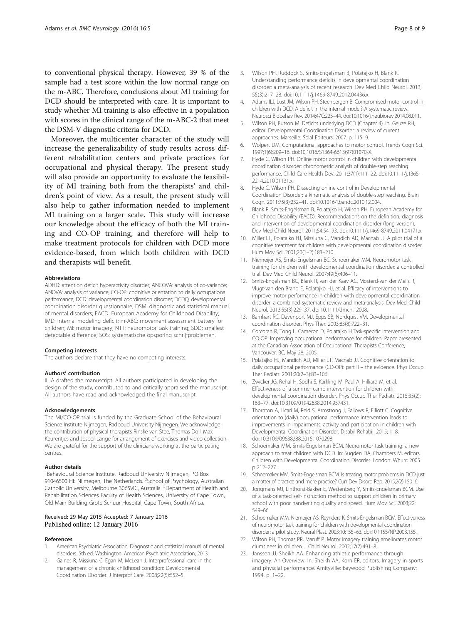<span id="page-7-0"></span>to conventional physical therapy. However, 39 % of the sample had a test score within the low normal range on the m-ABC. Therefore, conclusions about MI training for DCD should be interpreted with care. It is important to study whether MI training is also effective in a population with scores in the clinical range of the m-ABC-2 that meet the DSM-V diagnostic criteria for DCD.

Moreover, the multicenter character of the study will increase the generalizability of study results across different rehabilitation centers and private practices for occupational and physical therapy. The present study will also provide an opportunity to evaluate the feasibility of MI training both from the therapists' and children's point of view. As a result, the present study will also help to gather information needed to implement MI training on a larger scale. This study will increase our knowledge about the efficacy of both the MI training and CO-OP training, and therefore will help to make treatment protocols for children with DCD more evidence-based, from which both children with DCD and therapists will benefit.

#### Abbreviations

ADHD: attention deficit hyperactivity disorder; ANCOVA: analysis of co-variance; ANOVA: analysis of variance; CO-OP: cognitive orientation to daily occupational performance; DCD: developmental coordination disorder; DCDQ: developmental coordination disorder questionnaire; DSM: diagnostic and statistical manual of mental disorders; EACD: European Academy for Childhood Disability; IMD: internal modeling deficit; m-ABC: movement assessment battery for children; MI: motor imagery; NTT: neuromotor task training; SDD: smallest detectable difference; SOS: systematische opsporing schrijfproblemen.

#### Competing interests

The authors declare that they have no competing interests.

#### Authors' contribution

ILJA drafted the manuscript. All authors participated in developing the design of the study, contributed to and critically appraised the manuscript. All authors have read and acknowledged the final manuscript.

#### Acknowledgements

The MI/CO-OP trial is funded by the Graduate School of the Behavioural Science Institute Nijmegen, Radboud University Nijmegen. We acknowledge the contribution of physical therapists Rinske van Stee, Thomas Doll, Max Keurentjes and Jesper Lange for arrangement of exercises and video collection. We are grateful for the support of the clinicians working at the participating centres.

#### Author details

<sup>1</sup> Behavioural Science Institute, Radboud University Nijmegen, PO Box 91046500 HE Nijmegen, The Netherlands. <sup>2</sup>School of Psychology, Australian Catholic University, Melbourne 3065VIC, Australia. <sup>3</sup>Department of Health and Rehabilitation Sciences Faculty of Health Sciences, University of Cape Town, Old Main Building Grote Schuur Hospital, Cape Town, South Africa.

#### Received: 29 May 2015 Accepted: 7 January 2016 Published online: 12 January 2016

#### References

- 1. American Psychiatric Association. Diagnostic and statistical manual of mental disorders. 5th ed. Washington: American Psychiatric Association; 2013.
- 2. Gaines R, Missiuna C, Egan M, McLean J. Interprofessional care in the management of a chronic childhood condition: Developmental Coordination Disorder. J Interprof Care. 2008;22(5):552–5.
- 3. Wilson PH, Ruddock S, Smits-Engelsman B, Polatajko H, Blank R. Understanding performance deficits in developmental coordination disorder: a meta-analysis of recent research. Dev Med Child Neurol. 2013; 55(3):217–28. doi:[10.1111/j.1469-8749.2012.04436.x](http://dx.doi.org/10.1111/j.1469-8749.2012.04436.x).
- 4. Adams ILJ, Lust JM, Wilson PH, Steenbergen B. Compromised motor control in children with DCD: A deficit in the internal model?-A systematic review. Neurosci Biobehav Rev. 2014;47C:225–44. doi[:10.1016/j.neubiorev.2014.08.011](http://dx.doi.org/10.1016/j.neubiorev.2014.08.011).
- 5. Wilson PH, Butson M. Deficits underlying DCD (Chapter 4). In: Geuze RH, editor. Developmental Coordination Disorder: a review of current approaches. Marseille: Solal Editeurs; 2007. p. 115–9.
- 6. Wolpert DM. Computational approaches to motor control. Trends Cogn Sci. 1997;1(6):209–16. doi:[10.1016/S1364-6613\(97\)01070-X.](http://dx.doi.org/10.1016/S1364-6613(97)01070-X)
- 7. Hyde C, Wilson PH. Online motor control in children with developmental coordination disorder: chronometric analysis of double-step reaching performance. Child Care Health Dev. 2011;37(1):111–22. doi[:10.1111/j.1365-](http://dx.doi.org/10.1111/j.1365-2214.2010.01131.x) [2214.2010.01131.x.](http://dx.doi.org/10.1111/j.1365-2214.2010.01131.x)
- 8. Hyde C, Wilson PH. Dissecting online control in Developmental Coordination Disorder: a kinematic analysis of double-step reaching. Brain Cogn. 2011;75(3):232–41. doi:[10.1016/j.bandc.2010.12.004.](http://dx.doi.org/10.1016/j.bandc.2010.12.004)
- 9. Blank R, Smits-Engelsman B, Polatajko H, Wilson PH. European Academy for Childhood Disability (EACD): Recommendations on the definition, diagnosis and intervention of developmental coordination disorder (long version). Dev Med Child Neurol. 2011;54:54–93. doi:[10.1111/j.1469-8749.2011.04171.x](http://dx.doi.org/10.1111/j.1469-8749.2011.04171.x).
- 10. Miller LT, Polatajko HJ, Missiuna C, Mandich AD, Macnab JJ. A pilot trial of a cognitive treatment for children with developmental coordination disorder. Hum Mov Sci. 2001;20(1–2):183–210.
- 11. Niemeijer AS, Smits-Engelsman BC, Schoemaker MM, Neuromotor task training for children with developmental coordination disorder: a controlled trial. Dev Med Child Neurol. 2007;49(6):406–11.
- 12. Smits-Engelsman BC, Blank R, van der Kaay AC, Mosterd-van der Meijs R, Vlugt-van den Brand E, Polatajko HJ, et al. Efficacy of interventions to improve motor performance in children with developmental coordination disorder: a combined systematic review and meta-analysis. Dev Med Child Neurol. 2013;55(3):229–37. doi[:10.1111/dmcn.12008](http://dx.doi.org/10.1111/dmcn.12008).
- 13. Barnhart RC, Davenport MJ, Epps SB, Nordquist VM. Developmental coordination disorder. Phys Ther. 2003;83(8):722–31.
- 14. Corcoran R, Tong L, Cameron D, Polatajko H.Task-specific intervention and CO-OP: Improving occupational performance for children. Paper presented at the Canadian Association of Occupational Therapists Conference, Vancouver, BC, May 28, 2005.
- 15. Polatajko HJ, Mandich AD, Miller LT, Macnab JJ. Cognitive orientation to daily occupational performance (CO-OP): part II – the evidence. Phys Occup Ther Pediatr. 2001;20(2–3):83–106.
- 16. Zwicker JG, Rehal H, Sodhi S, Karkling M, Paul A, Hilliard M, et al. Effectiveness of a summer camp intervention for children with developmental coordination disorder. Phys Occup Ther Pediatr. 2015;35(2): 163–77. doi:[10.3109/01942638.2014.957431.](http://dx.doi.org/10.3109/01942638.2014.957431)
- 17. Thornton A, Licari M, Reid S, Armstrong J, Fallows R, Elliott C. Cognitive orientation to (daily) occupational performance intervention leads to improvements in impairments, activity and participation in children with Developmental Coordination Disorder. Disabil Rehabil. 2015; 1–8. doi[:10.3109/09638288.2015.1070298](http://dx.doi.org/10.3109/09638288.2015.1070298)
- 18. Schoemaker MM, Smits-Engelsman BCM. Neuromotor task training: a new approach to treat children with DCD. In: Sugden DA, Chambers M, editors. Children with Developmental Coordination Disorder. London: Whurr; 2005. p 212–227.
- 19. Schoemaker MM, Smits-Engelsman BCM. Is treating motor problems in DCD just a matter of practice and mere practice? Curr Dev Disord Rep. 2015;2(2):150–6.
- 20. Jongmans MJ, Linthorst-Bakker E, Westenberg Y, Smits-Engelsman BCM. Use of a task-oriented self-instruction method to support children in primary school with poor handwriting quality and speed. Hum Mov Sci. 2003;22: 549–66.
- 21. Schoemaker MM, Niemeijer AS, Reynders K, Smits-Engelsman BCM. Effectiveness of neuromotor task training for children with developmental coordination disorder: a pilot study. Neural Plast. 2003;10:155–63. doi[:10.1155/NP.2003.155.](http://dx.doi.org/10.1155/NP.2003.155)
- 22. Wilson PH, Thomas PR, Maruff P. Motor imagery training ameliorates motor clumsiness in children. J Child Neurol. 2002;17(7):491–8.
- 23. Janssen JJ, Sheikh AA. Enhancing athletic performance through imagery: An Overview. In: Sheikh AA, Korn ER, editors. Imagery in sports and physcial performance. Amityville: Baywood Publishing Company; 1994. p. 1–22.